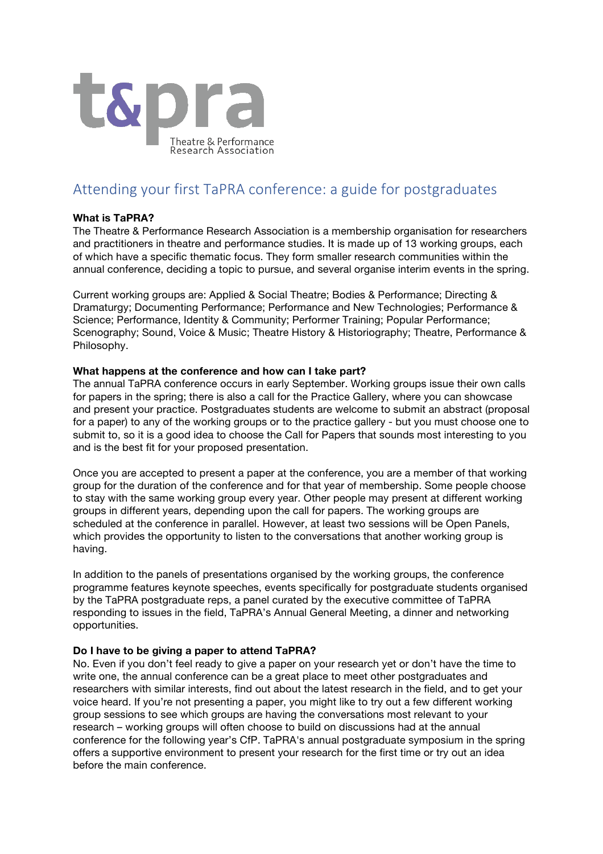

# Attending your first TaPRA conference: a guide for postgraduates

## **What is TaPRA?**

The Theatre & Performance Research Association is a membership organisation for researchers and practitioners in theatre and performance studies. It is made up of 13 working groups, each of which have a specific thematic focus. They form smaller research communities within the annual conference, deciding a topic to pursue, and several organise interim events in the spring.

Current working groups are: Applied & Social Theatre; Bodies & Performance; Directing & Dramaturgy; Documenting Performance; Performance and New Technologies; Performance & Science; Performance, Identity & Community; Performer Training; Popular Performance; Scenography; Sound, Voice & Music; Theatre History & Historiography; Theatre, Performance & Philosophy.

### **What happens at the conference and how can I take part?**

The annual TaPRA conference occurs in early September. Working groups issue their own calls for papers in the spring; there is also a call for the Practice Gallery, where you can showcase and present your practice. Postgraduates students are welcome to submit an abstract (proposal for a paper) to any of the working groups or to the practice gallery - but you must choose one to submit to, so it is a good idea to choose the Call for Papers that sounds most interesting to you and is the best fit for your proposed presentation.

Once you are accepted to present a paper at the conference, you are a member of that working group for the duration of the conference and for that year of membership. Some people choose to stay with the same working group every year. Other people may present at different working groups in different years, depending upon the call for papers. The working groups are scheduled at the conference in parallel. However, at least two sessions will be Open Panels, which provides the opportunity to listen to the conversations that another working group is having.

In addition to the panels of presentations organised by the working groups, the conference programme features keynote speeches, events specifically for postgraduate students organised by the TaPRA postgraduate reps, a panel curated by the executive committee of TaPRA responding to issues in the field, TaPRA's Annual General Meeting, a dinner and networking opportunities.

### **Do I have to be giving a paper to attend TaPRA?**

No. Even if you don't feel ready to give a paper on your research yet or don't have the time to write one, the annual conference can be a great place to meet other postgraduates and researchers with similar interests, find out about the latest research in the field, and to get your voice heard. If you're not presenting a paper, you might like to try out a few different working group sessions to see which groups are having the conversations most relevant to your research – working groups will often choose to build on discussions had at the annual conference for the following year's CfP. TaPRA's annual postgraduate symposium in the spring offers a supportive environment to present your research for the first time or try out an idea before the main conference.